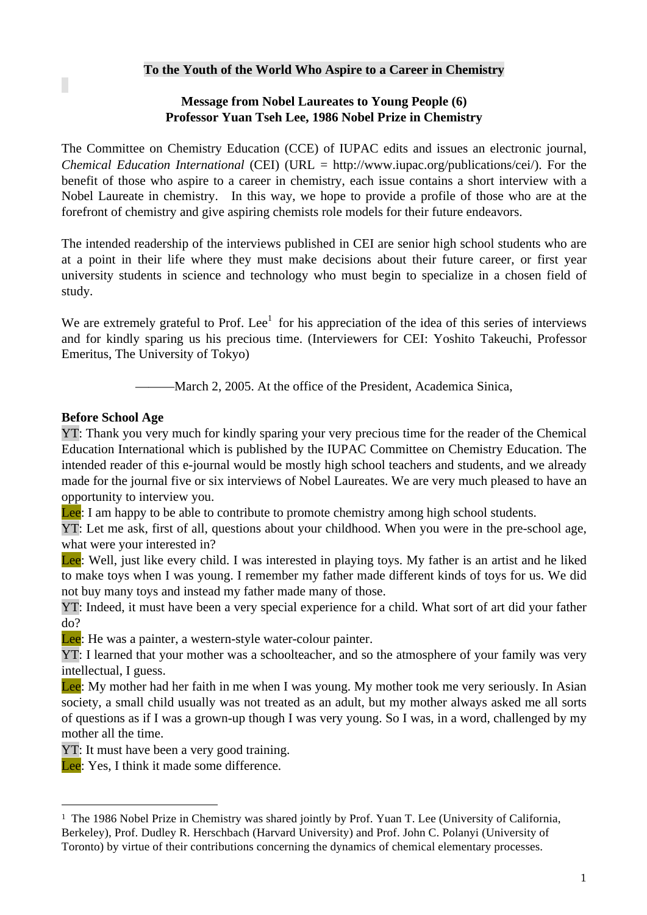## **To the Youth of the World Who Aspire to a Career in Chemistry**

# **Message from Nobel Laureates to Young People (6) Professor Yuan Tseh Lee, 1986 Nobel Prize in Chemistry**

The Committee on Chemistry Education (CCE) of IUPAC edits and issues an electronic journal, *Chemical Education International* (CEI) (URL = http://www.iupac.org/publications/cei/). For the benefit of those who aspire to a career in chemistry, each issue contains a short interview with a Nobel Laureate in chemistry. In this way, we hope to provide a profile of those who are at the forefront of chemistry and give aspiring chemists role models for their future endeavors.

The intended readership of the interviews published in CEI are senior high school students who are at a point in their life where they must make decisions about their future career, or first year university students in science and technology who must begin to specialize in a chosen field of study.

We are extremely grateful to Prof. Lee<sup>1</sup> for his appreciation of the idea of this series of interviews and for kindly sparing us his precious time. (Interviewers for CEI: Yoshito Takeuchi, Professor Emeritus, The University of Tokyo)

———March 2, 2005. At the office of the President, Academica Sinica,

# **Before School Age**

П

YT: Thank you very much for kindly sparing your very precious time for the reader of the Chemical Education International which is published by the IUPAC Committee on Chemistry Education. The intended reader of this e-journal would be mostly high school teachers and students, and we already made for the journal five or six interviews of Nobel Laureates. We are very much pleased to have an opportunity to interview you.

Lee: I am happy to be able to contribute to promote chemistry among high school students.

YT: Let me ask, first of all, questions about your childhood. When you were in the pre-school age, what were your interested in?

Lee: Well, just like every child. I was interested in playing toys. My father is an artist and he liked to make toys when I was young. I remember my father made different kinds of toys for us. We did not buy many toys and instead my father made many of those.

YT: Indeed, it must have been a very special experience for a child. What sort of art did your father do?

Lee: He was a painter, a western-style water-colour painter.

YT: I learned that your mother was a schoolteacher, and so the atmosphere of your family was very intellectual, I guess.

Lee: My mother had her faith in me when I was young. My mother took me very seriously. In Asian society, a small child usually was not treated as an adult, but my mother always asked me all sorts of questions as if I was a grown-up though I was very young. So I was, in a word, challenged by my mother all the time.

YT: It must have been a very good training.

Lee: Yes, I think it made some difference.

 $\overline{a}$ 

<sup>&</sup>lt;sup>1</sup> The 1986 Nobel Prize in Chemistry was shared jointly by Prof. Yuan T. Lee (University of California, Berkeley), Prof. Dudley R. Herschbach (Harvard University) and Prof. John C. Polanyi (University of Toronto) by virtue of their contributions concerning the dynamics of chemical elementary processes.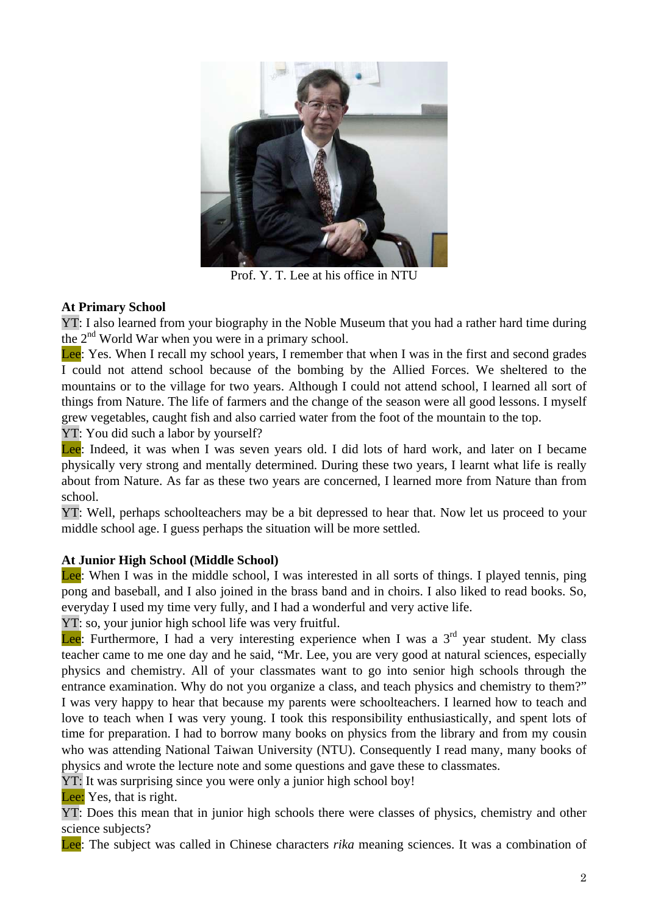

Prof. Y. T. Lee at his office in NTU

# **At Primary School**

YT: I also learned from your biography in the Noble Museum that you had a rather hard time during the  $2<sup>nd</sup>$  World War when you were in a primary school.

Lee: Yes. When I recall my school years, I remember that when I was in the first and second grades I could not attend school because of the bombing by the Allied Forces. We sheltered to the mountains or to the village for two years. Although I could not attend school, I learned all sort of things from Nature. The life of farmers and the change of the season were all good lessons. I myself grew vegetables, caught fish and also carried water from the foot of the mountain to the top.

YT: You did such a labor by yourself?

Lee: Indeed, it was when I was seven years old. I did lots of hard work, and later on I became physically very strong and mentally determined. During these two years, I learnt what life is really about from Nature. As far as these two years are concerned, I learned more from Nature than from school.

YT: Well, perhaps schoolteachers may be a bit depressed to hear that. Now let us proceed to your middle school age. I guess perhaps the situation will be more settled.

# **At Junior High School (Middle School)**

Lee: When I was in the middle school, I was interested in all sorts of things. I played tennis, ping pong and baseball, and I also joined in the brass band and in choirs. I also liked to read books. So, everyday I used my time very fully, and I had a wonderful and very active life.

YT: so, your junior high school life was very fruitful.

Lee: Furthermore, I had a very interesting experience when I was a  $3<sup>rd</sup>$  year student. My class teacher came to me one day and he said, "Mr. Lee, you are very good at natural sciences, especially physics and chemistry. All of your classmates want to go into senior high schools through the entrance examination. Why do not you organize a class, and teach physics and chemistry to them?" I was very happy to hear that because my parents were schoolteachers. I learned how to teach and love to teach when I was very young. I took this responsibility enthusiastically, and spent lots of time for preparation. I had to borrow many books on physics from the library and from my cousin who was attending National Taiwan University (NTU). Consequently I read many, many books of physics and wrote the lecture note and some questions and gave these to classmates.

YT: It was surprising since you were only a junior high school boy!

Lee: Yes, that is right.

YT: Does this mean that in junior high schools there were classes of physics, chemistry and other science subjects?

Lee: The subject was called in Chinese characters *rika* meaning sciences. It was a combination of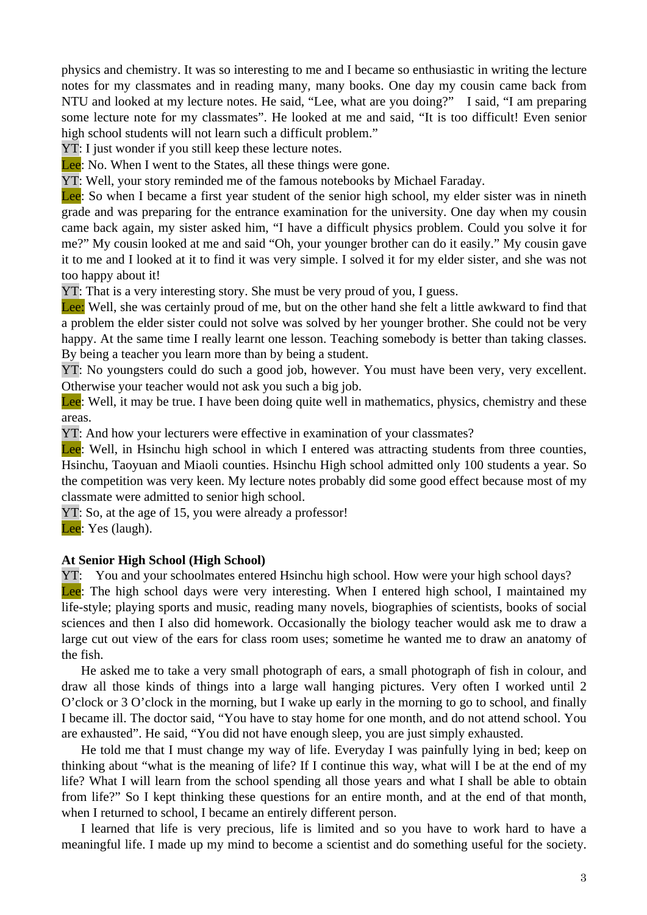physics and chemistry. It was so interesting to me and I became so enthusiastic in writing the lecture notes for my classmates and in reading many, many books. One day my cousin came back from NTU and looked at my lecture notes. He said, "Lee, what are you doing?" I said, "I am preparing some lecture note for my classmates". He looked at me and said, "It is too difficult! Even senior high school students will not learn such a difficult problem."

YT: I just wonder if you still keep these lecture notes.

Lee: No. When I went to the States, all these things were gone.

YT: Well, your story reminded me of the famous notebooks by Michael Faraday.

Lee: So when I became a first year student of the senior high school, my elder sister was in nineth grade and was preparing for the entrance examination for the university. One day when my cousin came back again, my sister asked him, "I have a difficult physics problem. Could you solve it for me?" My cousin looked at me and said "Oh, your younger brother can do it easily." My cousin gave it to me and I looked at it to find it was very simple. I solved it for my elder sister, and she was not too happy about it!

YT: That is a very interesting story. She must be very proud of you, I guess.

Lee: Well, she was certainly proud of me, but on the other hand she felt a little awkward to find that a problem the elder sister could not solve was solved by her younger brother. She could not be very happy. At the same time I really learnt one lesson. Teaching somebody is better than taking classes. By being a teacher you learn more than by being a student.

YT: No youngsters could do such a good job, however. You must have been very, very excellent. Otherwise your teacher would not ask you such a big job.

Lee: Well, it may be true. I have been doing quite well in mathematics, physics, chemistry and these areas.

YT: And how your lecturers were effective in examination of your classmates?

Lee: Well, in Hsinchu high school in which I entered was attracting students from three counties, Hsinchu, Taoyuan and Miaoli counties. Hsinchu High school admitted only 100 students a year. So the competition was very keen. My lecture notes probably did some good effect because most of my classmate were admitted to senior high school.

YT: So, at the age of 15, you were already a professor!

Lee: Yes (laugh).

### **At Senior High School (High School)**

YT: You and your schoolmates entered Hsinchu high school. How were your high school days?

Lee: The high school days were very interesting. When I entered high school, I maintained my life-style; playing sports and music, reading many novels, biographies of scientists, books of social sciences and then I also did homework. Occasionally the biology teacher would ask me to draw a large cut out view of the ears for class room uses; sometime he wanted me to draw an anatomy of the fish.

 He asked me to take a very small photograph of ears, a small photograph of fish in colour, and draw all those kinds of things into a large wall hanging pictures. Very often I worked until 2 O'clock or 3 O'clock in the morning, but I wake up early in the morning to go to school, and finally I became ill. The doctor said, "You have to stay home for one month, and do not attend school. You are exhausted". He said, "You did not have enough sleep, you are just simply exhausted.

 He told me that I must change my way of life. Everyday I was painfully lying in bed; keep on thinking about "what is the meaning of life? If I continue this way, what will I be at the end of my life? What I will learn from the school spending all those years and what I shall be able to obtain from life?" So I kept thinking these questions for an entire month, and at the end of that month, when I returned to school, I became an entirely different person.

 I learned that life is very precious, life is limited and so you have to work hard to have a meaningful life. I made up my mind to become a scientist and do something useful for the society.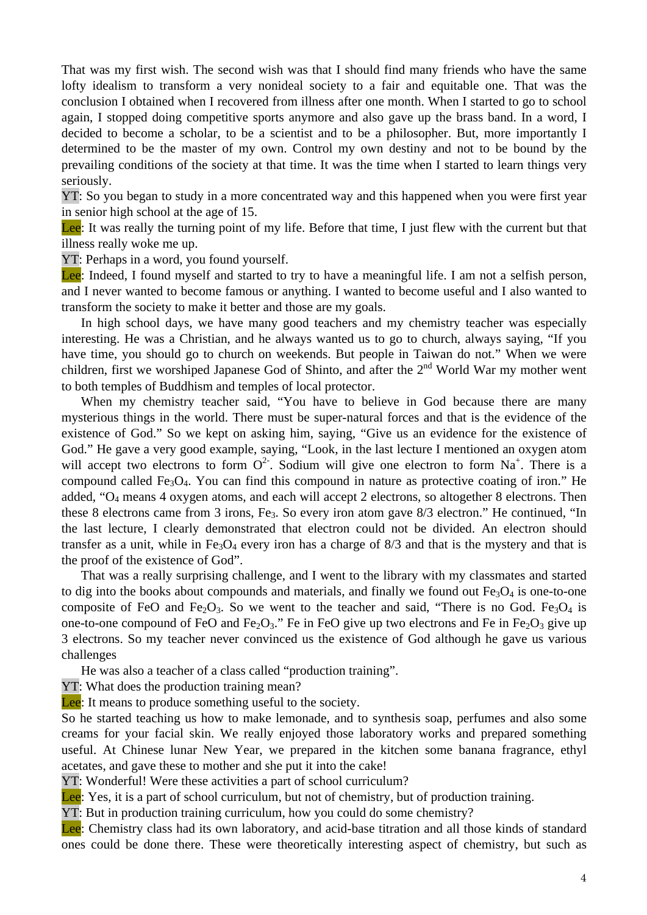That was my first wish. The second wish was that I should find many friends who have the same lofty idealism to transform a very nonideal society to a fair and equitable one. That was the conclusion I obtained when I recovered from illness after one month. When I started to go to school again, I stopped doing competitive sports anymore and also gave up the brass band. In a word, I decided to become a scholar, to be a scientist and to be a philosopher. But, more importantly I determined to be the master of my own. Control my own destiny and not to be bound by the prevailing conditions of the society at that time. It was the time when I started to learn things very seriously.

YT: So you began to study in a more concentrated way and this happened when you were first year in senior high school at the age of 15.

Lee: It was really the turning point of my life. Before that time, I just flew with the current but that illness really woke me up.

YT: Perhaps in a word, you found yourself.

Lee: Indeed, I found myself and started to try to have a meaningful life. I am not a selfish person, and I never wanted to become famous or anything. I wanted to become useful and I also wanted to transform the society to make it better and those are my goals.

 In high school days, we have many good teachers and my chemistry teacher was especially interesting. He was a Christian, and he always wanted us to go to church, always saying, "If you have time, you should go to church on weekends. But people in Taiwan do not." When we were children, first we worshiped Japanese God of Shinto, and after the  $2<sup>nd</sup>$  World War my mother went to both temples of Buddhism and temples of local protector.

 When my chemistry teacher said, "You have to believe in God because there are many mysterious things in the world. There must be super-natural forces and that is the evidence of the existence of God." So we kept on asking him, saying, "Give us an evidence for the existence of God." He gave a very good example, saying, "Look, in the last lecture I mentioned an oxygen atom will accept two electrons to form  $O^2$ . Sodium will give one electron to form Na<sup>+</sup>. There is a compound called  $Fe<sub>3</sub>O<sub>4</sub>$ . You can find this compound in nature as protective coating of iron." He added, "O4 means 4 oxygen atoms, and each will accept 2 electrons, so altogether 8 electrons. Then these 8 electrons came from 3 irons, Fe<sub>3</sub>. So every iron atom gave 8/3 electron." He continued, "In the last lecture, I clearly demonstrated that electron could not be divided. An electron should transfer as a unit, while in  $Fe<sub>3</sub>O<sub>4</sub>$  every iron has a charge of 8/3 and that is the mystery and that is the proof of the existence of God".

 That was a really surprising challenge, and I went to the library with my classmates and started to dig into the books about compounds and materials, and finally we found out  $Fe<sub>3</sub>O<sub>4</sub>$  is one-to-one composite of FeO and Fe<sub>2</sub>O<sub>3</sub>. So we went to the teacher and said, "There is no God. Fe<sub>3</sub>O<sub>4</sub> is one-to-one compound of FeO and Fe<sub>2</sub>O<sub>3</sub>." Fe in FeO give up two electrons and Fe in Fe<sub>2</sub>O<sub>3</sub> give up 3 electrons. So my teacher never convinced us the existence of God although he gave us various challenges

He was also a teacher of a class called "production training".

YT: What does the production training mean?

Lee: It means to produce something useful to the society.

So he started teaching us how to make lemonade, and to synthesis soap, perfumes and also some creams for your facial skin. We really enjoyed those laboratory works and prepared something useful. At Chinese lunar New Year, we prepared in the kitchen some banana fragrance, ethyl acetates, and gave these to mother and she put it into the cake!

YT: Wonderful! Were these activities a part of school curriculum?

Lee: Yes, it is a part of school curriculum, but not of chemistry, but of production training.

YT: But in production training curriculum, how you could do some chemistry?

Lee: Chemistry class had its own laboratory, and acid-base titration and all those kinds of standard ones could be done there. These were theoretically interesting aspect of chemistry, but such as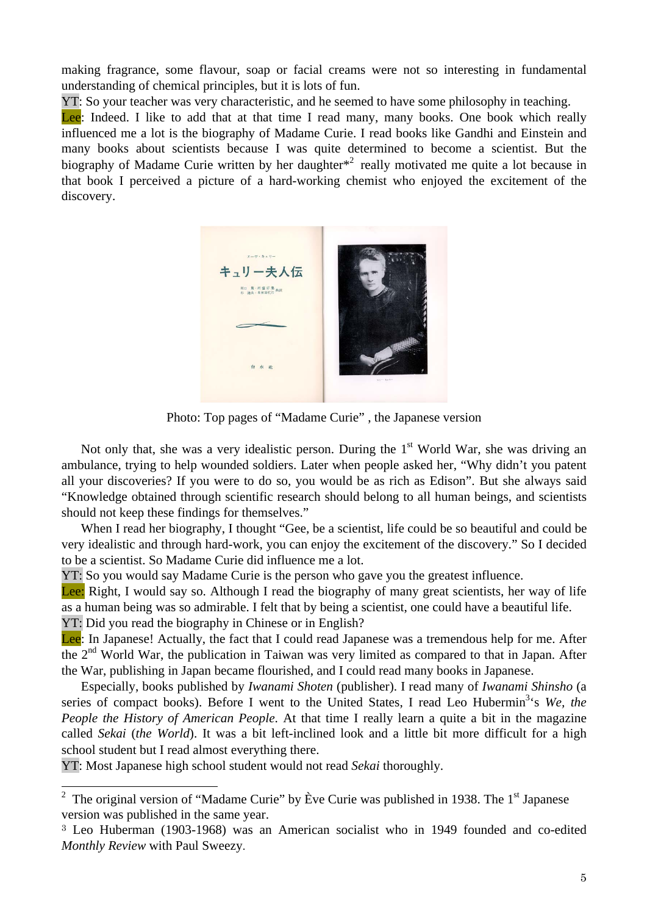making fragrance, some flavour, soap or facial creams were not so interesting in fundamental understanding of chemical principles, but it is lots of fun.

YT: So your teacher was very characteristic, and he seemed to have some philosophy in teaching.

Lee: Indeed. I like to add that at that time I read many, many books. One book which really influenced me a lot is the biography of Madame Curie. I read books like Gandhi and Einstein and many books about scientists because I was quite determined to become a scientist. But the biography of Madame Curie written by her daughter $*^2$  really motivated me quite a lot because in that book I perceived a picture of a hard-working chemist who enjoyed the excitement of the discovery.



Photo: Top pages of "Madame Curie" , the Japanese version

Not only that, she was a very idealistic person. During the  $1<sup>st</sup>$  World War, she was driving an ambulance, trying to help wounded soldiers. Later when people asked her, "Why didn't you patent all your discoveries? If you were to do so, you would be as rich as Edison". But she always said "Knowledge obtained through scientific research should belong to all human beings, and scientists should not keep these findings for themselves."

 When I read her biography, I thought "Gee, be a scientist, life could be so beautiful and could be very idealistic and through hard-work, you can enjoy the excitement of the discovery." So I decided to be a scientist. So Madame Curie did influence me a lot.

YT: So you would say Madame Curie is the person who gave you the greatest influence.

Lee: Right, I would say so. Although I read the biography of many great scientists, her way of life as a human being was so admirable. I felt that by being a scientist, one could have a beautiful life.

YT: Did you read the biography in Chinese or in English?

Lee: In Japanese! Actually, the fact that I could read Japanese was a tremendous help for me. After the  $2<sup>nd</sup>$  World War, the publication in Taiwan was very limited as compared to that in Japan. After the War, publishing in Japan became flourished, and I could read many books in Japanese.

 Especially, books published by *Iwanami Shoten* (publisher). I read many of *Iwanami Shinsho* (a series of compact books). Before I went to the United States, I read Leo Hubermin<sup>3</sup>'s We, the *People the History of American People*. At that time I really learn a quite a bit in the magazine called *Sekai* (*the World*). It was a bit left-inclined look and a little bit more difficult for a high school student but I read almost everything there.

YT: Most Japanese high school student would not read *Sekai* thoroughly.

 $\frac{1}{2}$  The original version of "Madame Curie" by Ève Curie was published in 1938. The 1<sup>st</sup> Japanese version was published in the same year.

<sup>3</sup> Leo Huberman (1903-1968) was an American socialist who in 1949 founded and co-edited *Monthly Review* with Paul Sweezy.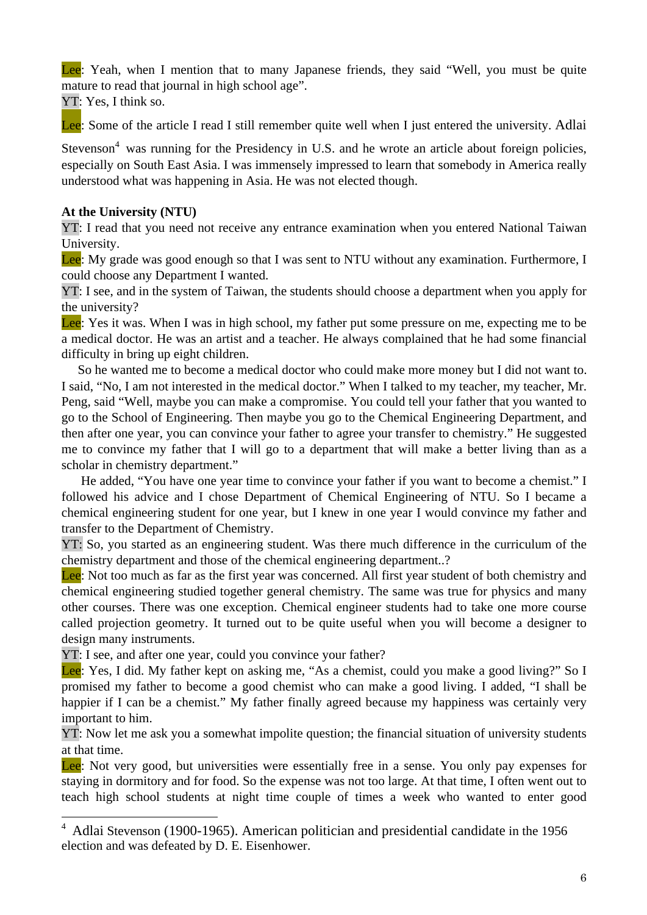Lee: Yeah, when I mention that to many Japanese friends, they said "Well, you must be quite mature to read that journal in high school age".

YT: Yes, I think so.

Lee: Some of the article I read I still remember quite well when I just entered the university. Adlai

Stevenson<sup>4</sup> was running for the Presidency in U.S. and he wrote an article about foreign policies, especially on South East Asia. I was immensely impressed to learn that somebody in America really understood what was happening in Asia. He was not elected though.

## **At the University (NTU)**

-

YT: I read that you need not receive any entrance examination when you entered National Taiwan University.

Lee: My grade was good enough so that I was sent to NTU without any examination. Furthermore, I could choose any Department I wanted.

YT: I see, and in the system of Taiwan, the students should choose a department when you apply for the university?

Lee: Yes it was. When I was in high school, my father put some pressure on me, expecting me to be a medical doctor. He was an artist and a teacher. He always complained that he had some financial difficulty in bring up eight children.

 So he wanted me to become a medical doctor who could make more money but I did not want to. I said, "No, I am not interested in the medical doctor." When I talked to my teacher, my teacher, Mr. Peng, said "Well, maybe you can make a compromise. You could tell your father that you wanted to go to the School of Engineering. Then maybe you go to the Chemical Engineering Department, and then after one year, you can convince your father to agree your transfer to chemistry." He suggested me to convince my father that I will go to a department that will make a better living than as a scholar in chemistry department."

 He added, "You have one year time to convince your father if you want to become a chemist." I followed his advice and I chose Department of Chemical Engineering of NTU. So I became a chemical engineering student for one year, but I knew in one year I would convince my father and transfer to the Department of Chemistry.

YT: So, you started as an engineering student. Was there much difference in the curriculum of the chemistry department and those of the chemical engineering department..?

Lee: Not too much as far as the first year was concerned. All first year student of both chemistry and chemical engineering studied together general chemistry. The same was true for physics and many other courses. There was one exception. Chemical engineer students had to take one more course called projection geometry. It turned out to be quite useful when you will become a designer to design many instruments.

YT: I see, and after one year, could you convince your father?

Lee: Yes, I did. My father kept on asking me, "As a chemist, could you make a good living?" So I promised my father to become a good chemist who can make a good living. I added, "I shall be happier if I can be a chemist." My father finally agreed because my happiness was certainly very important to him.

YT: Now let me ask you a somewhat impolite question; the financial situation of university students at that time.

Lee: Not very good, but universities were essentially free in a sense. You only pay expenses for staying in dormitory and for food. So the expense was not too large. At that time, I often went out to teach high school students at night time couple of times a week who wanted to enter good

<sup>&</sup>lt;sup>4</sup> Adlai Stevenson (1900-1965). American politician and presidential candidate in the 1956 election and was defeated by D. E. Eisenhower.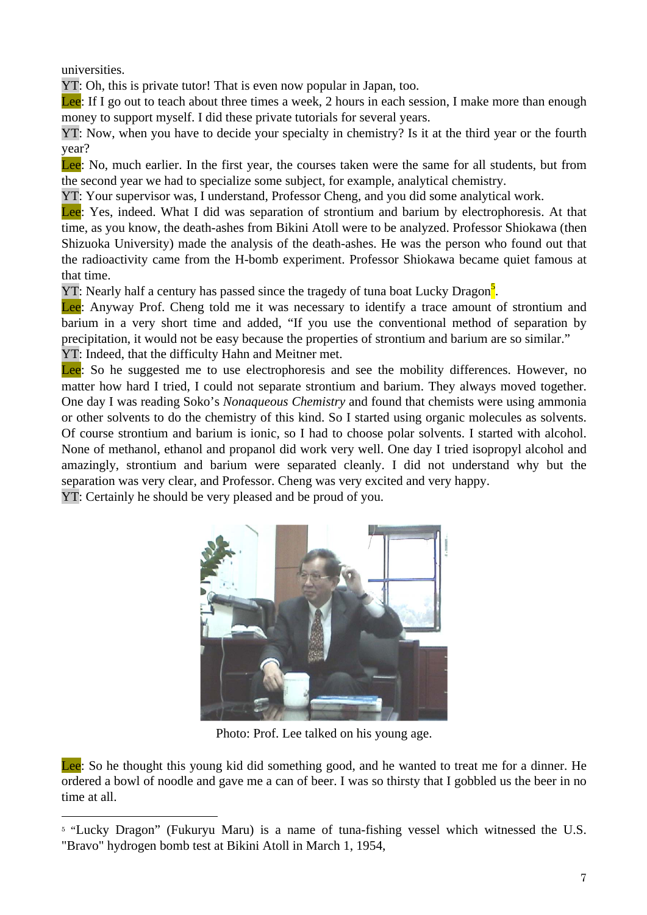universities.

1

YT: Oh, this is private tutor! That is even now popular in Japan, too.

Lee: If I go out to teach about three times a week, 2 hours in each session, I make more than enough money to support myself. I did these private tutorials for several years.

YT: Now, when you have to decide your specialty in chemistry? Is it at the third year or the fourth year?

Lee: No, much earlier. In the first year, the courses taken were the same for all students, but from the second year we had to specialize some subject, for example, analytical chemistry.

YT: Your supervisor was, I understand, Professor Cheng, and you did some analytical work.

Lee: Yes, indeed. What I did was separation of strontium and barium by electrophoresis. At that time, as you know, the death-ashes from Bikini Atoll were to be analyzed. Professor Shiokawa (then Shizuoka University) made the analysis of the death-ashes. He was the person who found out that the radioactivity came from the H-bomb experiment. Professor Shiokawa became quiet famous at that time.

YT: Nearly half a century has passed since the tragedy of tuna boat Lucky Dragon<sup>5</sup>.

Lee: Anyway Prof. Cheng told me it was necessary to identify a trace amount of strontium and barium in a very short time and added, "If you use the conventional method of separation by precipitation, it would not be easy because the properties of strontium and barium are so similar." YT: Indeed, that the difficulty Hahn and Meitner met.

Lee: So he suggested me to use electrophoresis and see the mobility differences. However, no matter how hard I tried, I could not separate strontium and barium. They always moved together. One day I was reading Soko's *Nonaqueous Chemistry* and found that chemists were using ammonia or other solvents to do the chemistry of this kind. So I started using organic molecules as solvents. Of course strontium and barium is ionic, so I had to choose polar solvents. I started with alcohol. None of methanol, ethanol and propanol did work very well. One day I tried isopropyl alcohol and amazingly, strontium and barium were separated cleanly. I did not understand why but the separation was very clear, and Professor. Cheng was very excited and very happy.

YT: Certainly he should be very pleased and be proud of you.



Photo: Prof. Lee talked on his young age.

Lee: So he thought this young kid did something good, and he wanted to treat me for a dinner. He ordered a bowl of noodle and gave me a can of beer. I was so thirsty that I gobbled us the beer in no time at all.

<sup>5</sup> "Lucky Dragon" (Fukuryu Maru) is a name of tuna-fishing vessel which witnessed the U.S. "Bravo" hydrogen bomb test at Bikini Atoll in March 1, 1954,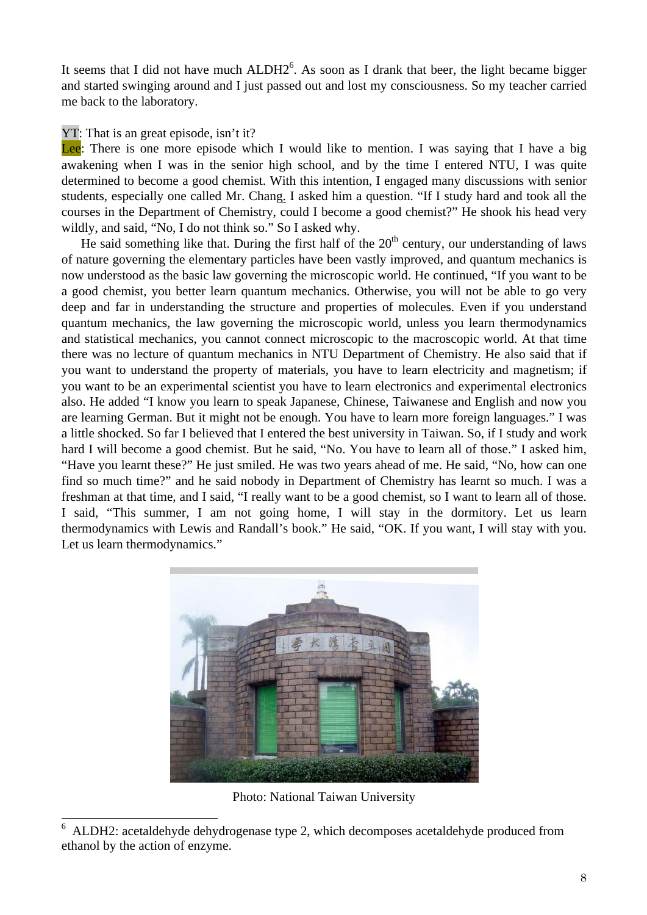It seems that I did not have much  $ALDH2<sup>6</sup>$ . As soon as I drank that beer, the light became bigger and started swinging around and I just passed out and lost my consciousness. So my teacher carried me back to the laboratory.

## YT: That is an great episode, isn't it?

1

Lee: There is one more episode which I would like to mention. I was saying that I have a big awakening when I was in the senior high school, and by the time I entered NTU, I was quite determined to become a good chemist. With this intention, I engaged many discussions with senior students, especially one called Mr. Chang. I asked him a question. "If I study hard and took all the courses in the Department of Chemistry, could I become a good chemist?" He shook his head very wildly, and said, "No, I do not think so." So I asked why.

He said something like that. During the first half of the  $20<sup>th</sup>$  century, our understanding of laws of nature governing the elementary particles have been vastly improved, and quantum mechanics is now understood as the basic law governing the microscopic world. He continued, "If you want to be a good chemist, you better learn quantum mechanics. Otherwise, you will not be able to go very deep and far in understanding the structure and properties of molecules. Even if you understand quantum mechanics, the law governing the microscopic world, unless you learn thermodynamics and statistical mechanics, you cannot connect microscopic to the macroscopic world. At that time there was no lecture of quantum mechanics in NTU Department of Chemistry. He also said that if you want to understand the property of materials, you have to learn electricity and magnetism; if you want to be an experimental scientist you have to learn electronics and experimental electronics also. He added "I know you learn to speak Japanese, Chinese, Taiwanese and English and now you are learning German. But it might not be enough. You have to learn more foreign languages." I was a little shocked. So far I believed that I entered the best university in Taiwan. So, if I study and work hard I will become a good chemist. But he said, "No. You have to learn all of those." I asked him, "Have you learnt these?" He just smiled. He was two years ahead of me. He said, "No, how can one find so much time?" and he said nobody in Department of Chemistry has learnt so much. I was a freshman at that time, and I said, "I really want to be a good chemist, so I want to learn all of those. I said, "This summer, I am not going home, I will stay in the dormitory. Let us learn thermodynamics with Lewis and Randall's book." He said, "OK. If you want, I will stay with you. Let us learn thermodynamics."



Photo: National Taiwan University

<sup>6</sup> ALDH2: acetaldehyde dehydrogenase type 2, which decomposes acetaldehyde produced from ethanol by the action of enzyme.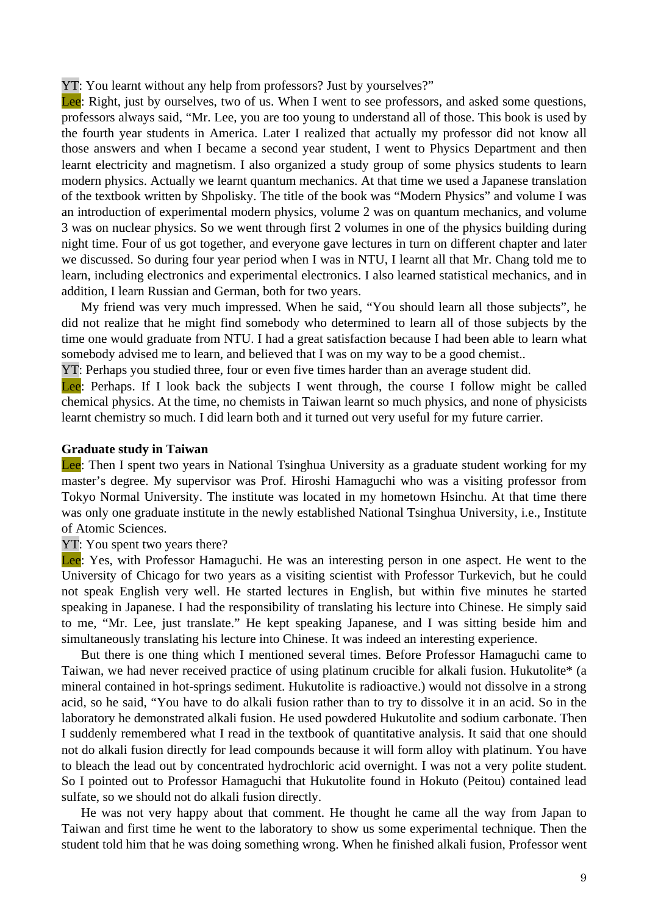YT: You learnt without any help from professors? Just by yourselves?"

Lee: Right, just by ourselves, two of us. When I went to see professors, and asked some questions, professors always said, "Mr. Lee, you are too young to understand all of those. This book is used by the fourth year students in America. Later I realized that actually my professor did not know all those answers and when I became a second year student, I went to Physics Department and then learnt electricity and magnetism. I also organized a study group of some physics students to learn modern physics. Actually we learnt quantum mechanics. At that time we used a Japanese translation of the textbook written by Shpolisky. The title of the book was "Modern Physics" and volume I was an introduction of experimental modern physics, volume 2 was on quantum mechanics, and volume 3 was on nuclear physics. So we went through first 2 volumes in one of the physics building during night time. Four of us got together, and everyone gave lectures in turn on different chapter and later we discussed. So during four year period when I was in NTU, I learnt all that Mr. Chang told me to learn, including electronics and experimental electronics. I also learned statistical mechanics, and in addition, I learn Russian and German, both for two years.

 My friend was very much impressed. When he said, "You should learn all those subjects", he did not realize that he might find somebody who determined to learn all of those subjects by the time one would graduate from NTU. I had a great satisfaction because I had been able to learn what somebody advised me to learn, and believed that I was on my way to be a good chemist..

YT: Perhaps you studied three, four or even five times harder than an average student did.

Lee: Perhaps. If I look back the subjects I went through, the course I follow might be called chemical physics. At the time, no chemists in Taiwan learnt so much physics, and none of physicists learnt chemistry so much. I did learn both and it turned out very useful for my future carrier.

#### **Graduate study in Taiwan**

Lee: Then I spent two years in National Tsinghua University as a graduate student working for my master's degree. My supervisor was Prof. Hiroshi Hamaguchi who was a visiting professor from Tokyo Normal University. The institute was located in my hometown Hsinchu. At that time there was only one graduate institute in the newly established National Tsinghua University, i.e., Institute of Atomic Sciences.

YT: You spent two years there?

Lee: Yes, with Professor Hamaguchi. He was an interesting person in one aspect. He went to the University of Chicago for two years as a visiting scientist with Professor Turkevich, but he could not speak English very well. He started lectures in English, but within five minutes he started speaking in Japanese. I had the responsibility of translating his lecture into Chinese. He simply said to me, "Mr. Lee, just translate." He kept speaking Japanese, and I was sitting beside him and simultaneously translating his lecture into Chinese. It was indeed an interesting experience.

 But there is one thing which I mentioned several times. Before Professor Hamaguchi came to Taiwan, we had never received practice of using platinum crucible for alkali fusion. Hukutolite\* (a mineral contained in hot-springs sediment. Hukutolite is radioactive.) would not dissolve in a strong acid, so he said, "You have to do alkali fusion rather than to try to dissolve it in an acid. So in the laboratory he demonstrated alkali fusion. He used powdered Hukutolite and sodium carbonate. Then I suddenly remembered what I read in the textbook of quantitative analysis. It said that one should not do alkali fusion directly for lead compounds because it will form alloy with platinum. You have to bleach the lead out by concentrated hydrochloric acid overnight. I was not a very polite student. So I pointed out to Professor Hamaguchi that Hukutolite found in Hokuto (Peitou) contained lead sulfate, so we should not do alkali fusion directly.

 He was not very happy about that comment. He thought he came all the way from Japan to Taiwan and first time he went to the laboratory to show us some experimental technique. Then the student told him that he was doing something wrong. When he finished alkali fusion, Professor went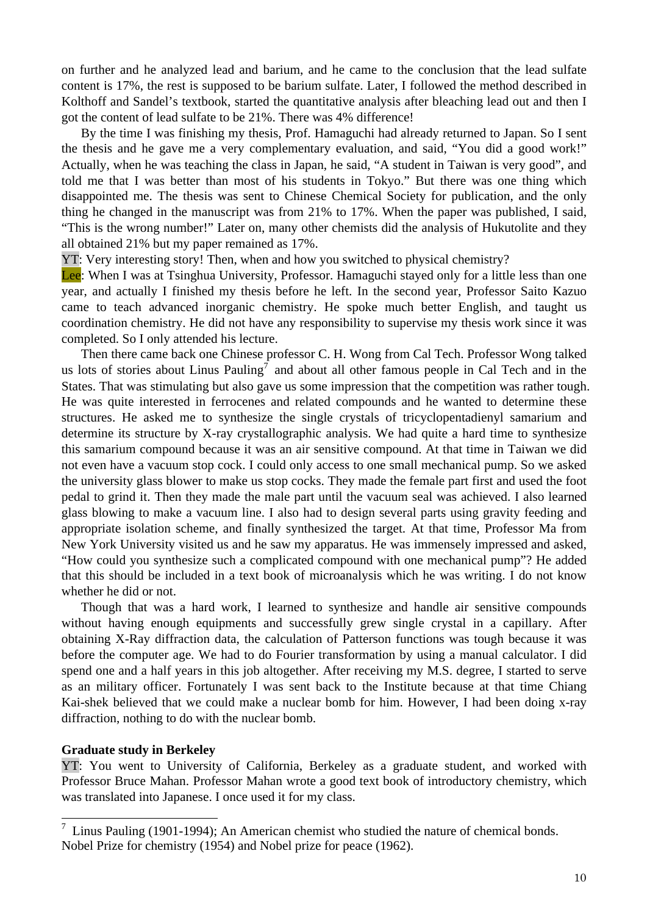on further and he analyzed lead and barium, and he came to the conclusion that the lead sulfate content is 17%, the rest is supposed to be barium sulfate. Later, I followed the method described in Kolthoff and Sandel's textbook, started the quantitative analysis after bleaching lead out and then I got the content of lead sulfate to be 21%. There was 4% difference!

 By the time I was finishing my thesis, Prof. Hamaguchi had already returned to Japan. So I sent the thesis and he gave me a very complementary evaluation, and said, "You did a good work!" Actually, when he was teaching the class in Japan, he said, "A student in Taiwan is very good", and told me that I was better than most of his students in Tokyo." But there was one thing which disappointed me. The thesis was sent to Chinese Chemical Society for publication, and the only thing he changed in the manuscript was from 21% to 17%. When the paper was published, I said, "This is the wrong number!" Later on, many other chemists did the analysis of Hukutolite and they all obtained 21% but my paper remained as 17%.

YT: Very interesting story! Then, when and how you switched to physical chemistry?

Lee: When I was at Tsinghua University, Professor. Hamaguchi stayed only for a little less than one year, and actually I finished my thesis before he left. In the second year, Professor Saito Kazuo came to teach advanced inorganic chemistry. He spoke much better English, and taught us coordination chemistry. He did not have any responsibility to supervise my thesis work since it was completed. So I only attended his lecture.

 Then there came back one Chinese professor C. H. Wong from Cal Tech. Professor Wong talked us lots of stories about Linus Pauling<sup>7</sup> and about all other famous people in Cal Tech and in the States. That was stimulating but also gave us some impression that the competition was rather tough. He was quite interested in ferrocenes and related compounds and he wanted to determine these structures. He asked me to synthesize the single crystals of tricyclopentadienyl samarium and determine its structure by X-ray crystallographic analysis. We had quite a hard time to synthesize this samarium compound because it was an air sensitive compound. At that time in Taiwan we did not even have a vacuum stop cock. I could only access to one small mechanical pump. So we asked the university glass blower to make us stop cocks. They made the female part first and used the foot pedal to grind it. Then they made the male part until the vacuum seal was achieved. I also learned glass blowing to make a vacuum line. I also had to design several parts using gravity feeding and appropriate isolation scheme, and finally synthesized the target. At that time, Professor Ma from New York University visited us and he saw my apparatus. He was immensely impressed and asked, "How could you synthesize such a complicated compound with one mechanical pump"? He added that this should be included in a text book of microanalysis which he was writing. I do not know whether he did or not.

 Though that was a hard work, I learned to synthesize and handle air sensitive compounds without having enough equipments and successfully grew single crystal in a capillary. After obtaining X-Ray diffraction data, the calculation of Patterson functions was tough because it was before the computer age. We had to do Fourier transformation by using a manual calculator. I did spend one and a half years in this job altogether. After receiving my M.S. degree, I started to serve as an military officer. Fortunately I was sent back to the Institute because at that time Chiang Kai-shek believed that we could make a nuclear bomb for him. However, I had been doing x-ray diffraction, nothing to do with the nuclear bomb.

#### **Graduate study in Berkeley**

1

YT: You went to University of California, Berkeley as a graduate student, and worked with Professor Bruce Mahan. Professor Mahan wrote a good text book of introductory chemistry, which was translated into Japanese. I once used it for my class.

 $\frac{7}{1}$  Linus Pauling (1901-1994); An American chemist who studied the nature of chemical bonds. Nobel Prize for chemistry (1954) and Nobel prize for peace (1962).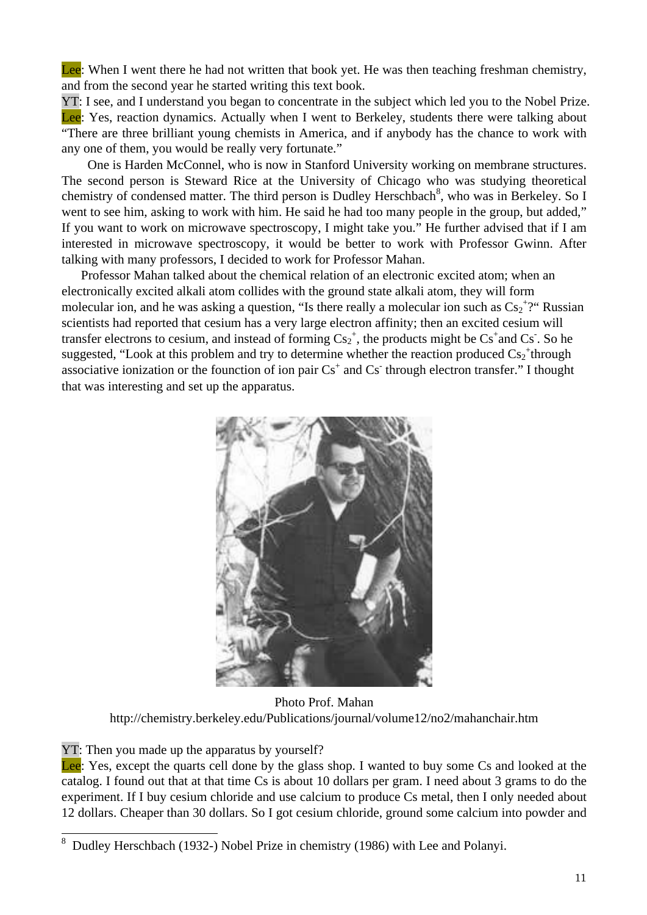Lee: When I went there he had not written that book yet. He was then teaching freshman chemistry, and from the second year he started writing this text book.

YT: I see, and I understand you began to concentrate in the subject which led you to the Nobel Prize. Lee: Yes, reaction dynamics. Actually when I went to Berkeley, students there were talking about "There are three brilliant young chemists in America, and if anybody has the chance to work with any one of them, you would be really very fortunate."

 One is Harden McConnel, who is now in Stanford University working on membrane structures. The second person is Steward Rice at the University of Chicago who was studying theoretical chemistry of condensed matter. The third person is Dudley Herschbach<sup>8</sup>, who was in Berkeley. So I went to see him, asking to work with him. He said he had too many people in the group, but added," If you want to work on microwave spectroscopy, I might take you." He further advised that if I am interested in microwave spectroscopy, it would be better to work with Professor Gwinn. After talking with many professors, I decided to work for Professor Mahan.

 Professor Mahan talked about the chemical relation of an electronic excited atom; when an electronically excited alkali atom collides with the ground state alkali atom, they will form molecular ion, and he was asking a question, "Is there really a molecular ion such as  $Cs_2^+$ ?" Russian scientists had reported that cesium has a very large electron affinity; then an excited cesium will transfer electrons to cesium, and instead of forming  $Cs_2^+$ , the products might be  $Cs^+$  and  $Cs^-$ . So he suggested, "Look at this problem and try to determine whether the reaction produced  $Cs_2^{\dagger}$ through associative ionization or the founction of ion pair  $Cs<sup>+</sup>$  and  $Cs<sup>-</sup>$  through electron transfer." I thought that was interesting and set up the apparatus.



Photo Prof. Mahan http://chemistry.berkeley.edu/Publications/journal/volume12/no2/mahanchair.htm

YT: Then you made up the apparatus by yourself?

Lee: Yes, except the quarts cell done by the glass shop. I wanted to buy some Cs and looked at the catalog. I found out that at that time Cs is about 10 dollars per gram. I need about 3 grams to do the experiment. If I buy cesium chloride and use calcium to produce Cs metal, then I only needed about 12 dollars. Cheaper than 30 dollars. So I got cesium chloride, ground some calcium into powder and

 8 Dudley Herschbach (1932-) Nobel Prize in chemistry (1986) with Lee and Polanyi.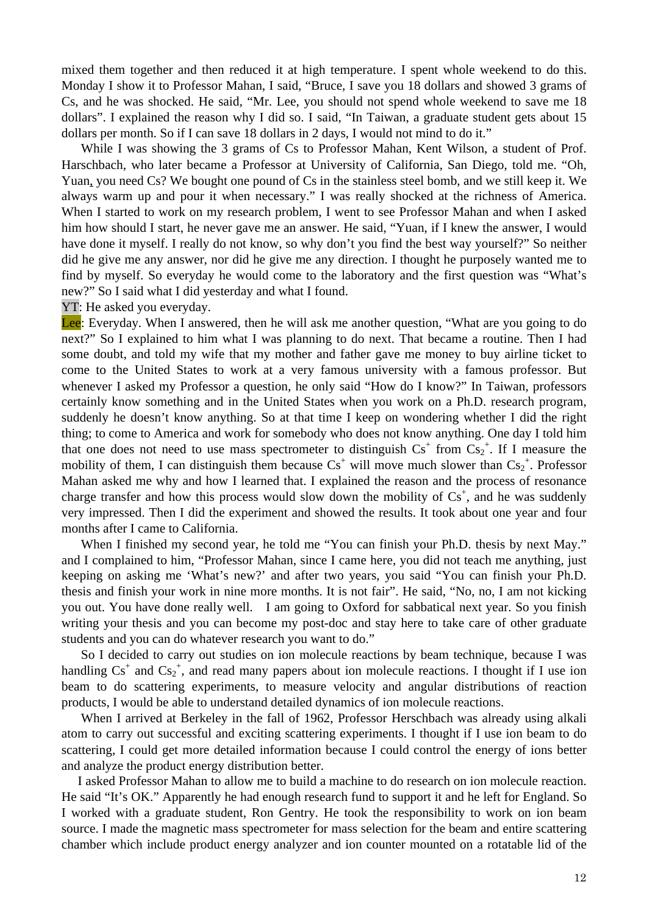mixed them together and then reduced it at high temperature. I spent whole weekend to do this. Monday I show it to Professor Mahan, I said, "Bruce, I save you 18 dollars and showed 3 grams of Cs, and he was shocked. He said, "Mr. Lee, you should not spend whole weekend to save me 18 dollars". I explained the reason why I did so. I said, "In Taiwan, a graduate student gets about 15 dollars per month. So if I can save 18 dollars in 2 days, I would not mind to do it."

 While I was showing the 3 grams of Cs to Professor Mahan, Kent Wilson, a student of Prof. Harschbach, who later became a Professor at University of California, San Diego, told me. "Oh, Yuan, you need Cs? We bought one pound of Cs in the stainless steel bomb, and we still keep it. We always warm up and pour it when necessary." I was really shocked at the richness of America. When I started to work on my research problem, I went to see Professor Mahan and when I asked him how should I start, he never gave me an answer. He said, "Yuan, if I knew the answer, I would have done it myself. I really do not know, so why don't you find the best way yourself?" So neither did he give me any answer, nor did he give me any direction. I thought he purposely wanted me to find by myself. So everyday he would come to the laboratory and the first question was "What's new?" So I said what I did yesterday and what I found.

YT: He asked you everyday.

Lee: Everyday. When I answered, then he will ask me another question, "What are you going to do next?" So I explained to him what I was planning to do next. That became a routine. Then I had some doubt, and told my wife that my mother and father gave me money to buy airline ticket to come to the United States to work at a very famous university with a famous professor. But whenever I asked my Professor a question, he only said "How do I know?" In Taiwan, professors certainly know something and in the United States when you work on a Ph.D. research program, suddenly he doesn't know anything. So at that time I keep on wondering whether I did the right thing; to come to America and work for somebody who does not know anything. One day I told him that one does not need to use mass spectrometer to distinguish  $Cs^+$  from  $Cs_2^+$ . If I measure the mobility of them, I can distinguish them because  $Cs^+$  will move much slower than  $Cs_2^+$ . Professor Mahan asked me why and how I learned that. I explained the reason and the process of resonance charge transfer and how this process would slow down the mobility of  $Cs^+$ , and he was suddenly very impressed. Then I did the experiment and showed the results. It took about one year and four months after I came to California.

When I finished my second year, he told me "You can finish your Ph.D. thesis by next May." and I complained to him, "Professor Mahan, since I came here, you did not teach me anything, just keeping on asking me 'What's new?' and after two years, you said "You can finish your Ph.D. thesis and finish your work in nine more months. It is not fair". He said, "No, no, I am not kicking you out. You have done really well. I am going to Oxford for sabbatical next year. So you finish writing your thesis and you can become my post-doc and stay here to take care of other graduate students and you can do whatever research you want to do."

 So I decided to carry out studies on ion molecule reactions by beam technique, because I was handling  $Cs^+$  and  $Cs^+$ , and read many papers about ion molecule reactions. I thought if I use ion beam to do scattering experiments, to measure velocity and angular distributions of reaction products, I would be able to understand detailed dynamics of ion molecule reactions.

 When I arrived at Berkeley in the fall of 1962, Professor Herschbach was already using alkali atom to carry out successful and exciting scattering experiments. I thought if I use ion beam to do scattering, I could get more detailed information because I could control the energy of ions better and analyze the product energy distribution better.

 I asked Professor Mahan to allow me to build a machine to do research on ion molecule reaction. He said "It's OK." Apparently he had enough research fund to support it and he left for England. So I worked with a graduate student, Ron Gentry. He took the responsibility to work on ion beam source. I made the magnetic mass spectrometer for mass selection for the beam and entire scattering chamber which include product energy analyzer and ion counter mounted on a rotatable lid of the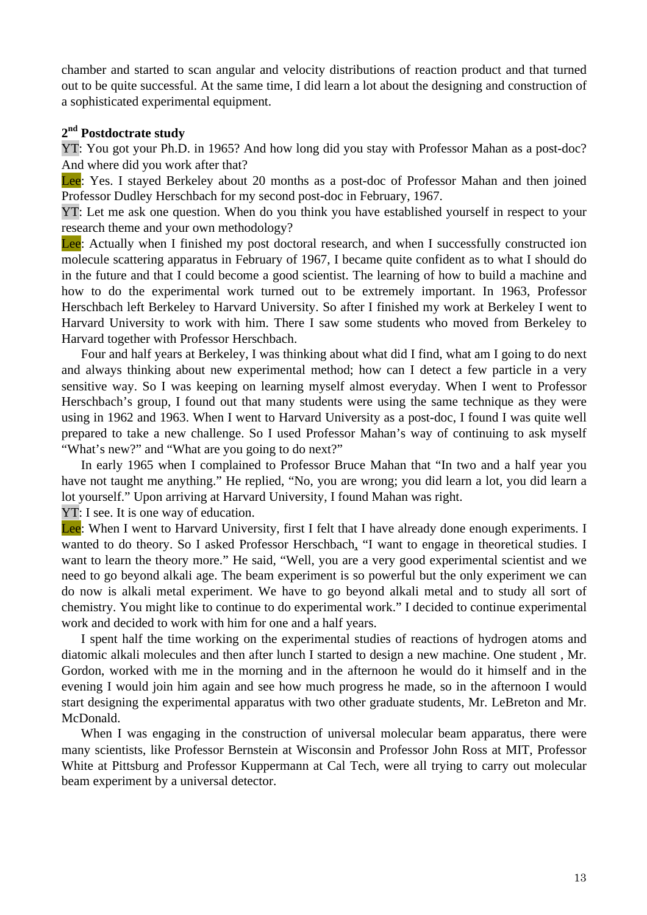chamber and started to scan angular and velocity distributions of reaction product and that turned out to be quite successful. At the same time, I did learn a lot about the designing and construction of a sophisticated experimental equipment.

## **2nd Postdoctrate study**

YT: You got your Ph.D. in 1965? And how long did you stay with Professor Mahan as a post-doc? And where did you work after that?

Lee: Yes. I stayed Berkeley about 20 months as a post-doc of Professor Mahan and then joined Professor Dudley Herschbach for my second post-doc in February, 1967.

YT: Let me ask one question. When do you think you have established yourself in respect to your research theme and your own methodology?

Lee: Actually when I finished my post doctoral research, and when I successfully constructed ion molecule scattering apparatus in February of 1967, I became quite confident as to what I should do in the future and that I could become a good scientist. The learning of how to build a machine and how to do the experimental work turned out to be extremely important. In 1963, Professor Herschbach left Berkeley to Harvard University. So after I finished my work at Berkeley I went to Harvard University to work with him. There I saw some students who moved from Berkeley to Harvard together with Professor Herschbach.

 Four and half years at Berkeley, I was thinking about what did I find, what am I going to do next and always thinking about new experimental method; how can I detect a few particle in a very sensitive way. So I was keeping on learning myself almost everyday. When I went to Professor Herschbach's group, I found out that many students were using the same technique as they were using in 1962 and 1963. When I went to Harvard University as a post-doc, I found I was quite well prepared to take a new challenge. So I used Professor Mahan's way of continuing to ask myself "What's new?" and "What are you going to do next?"

 In early 1965 when I complained to Professor Bruce Mahan that "In two and a half year you have not taught me anything." He replied, "No, you are wrong; you did learn a lot, you did learn a lot yourself." Upon arriving at Harvard University, I found Mahan was right.

YT: I see. It is one way of education.

Lee: When I went to Harvard University, first I felt that I have already done enough experiments. I wanted to do theory. So I asked Professor Herschbach, "I want to engage in theoretical studies. I want to learn the theory more." He said, "Well, you are a very good experimental scientist and we need to go beyond alkali age. The beam experiment is so powerful but the only experiment we can do now is alkali metal experiment. We have to go beyond alkali metal and to study all sort of chemistry. You might like to continue to do experimental work." I decided to continue experimental work and decided to work with him for one and a half years.

 I spent half the time working on the experimental studies of reactions of hydrogen atoms and diatomic alkali molecules and then after lunch I started to design a new machine. One student , Mr. Gordon, worked with me in the morning and in the afternoon he would do it himself and in the evening I would join him again and see how much progress he made, so in the afternoon I would start designing the experimental apparatus with two other graduate students, Mr. LeBreton and Mr. McDonald.

When I was engaging in the construction of universal molecular beam apparatus, there were many scientists, like Professor Bernstein at Wisconsin and Professor John Ross at MIT, Professor White at Pittsburg and Professor Kuppermann at Cal Tech, were all trying to carry out molecular beam experiment by a universal detector.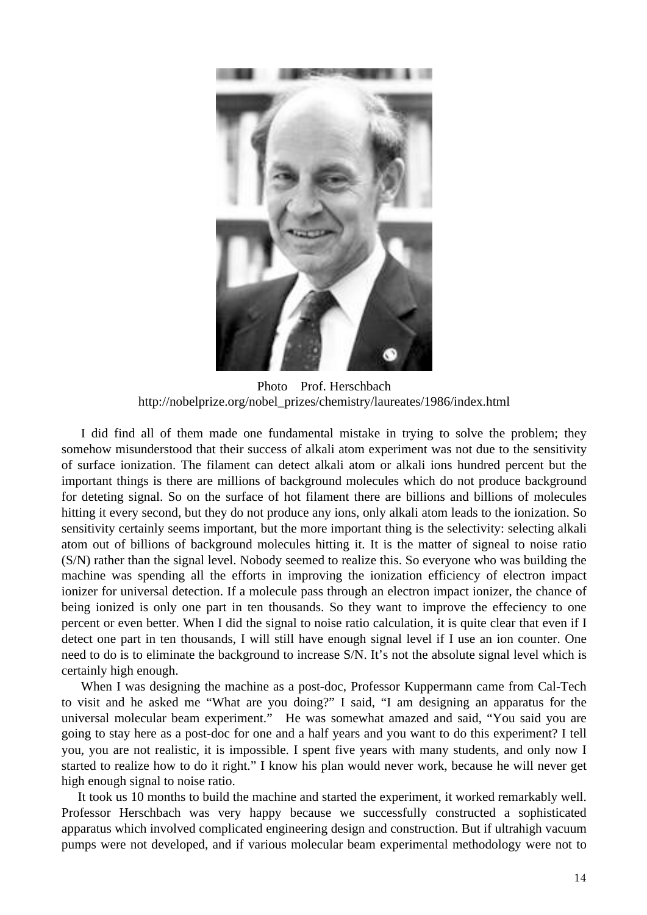

Photo Prof. Herschbach http://nobelprize.org/nobel\_prizes/chemistry/laureates/1986/index.html

 I did find all of them made one fundamental mistake in trying to solve the problem; they somehow misunderstood that their success of alkali atom experiment was not due to the sensitivity of surface ionization. The filament can detect alkali atom or alkali ions hundred percent but the important things is there are millions of background molecules which do not produce background for deteting signal. So on the surface of hot filament there are billions and billions of molecules hitting it every second, but they do not produce any ions, only alkali atom leads to the ionization. So sensitivity certainly seems important, but the more important thing is the selectivity: selecting alkali atom out of billions of background molecules hitting it. It is the matter of signeal to noise ratio (S/N) rather than the signal level. Nobody seemed to realize this. So everyone who was building the machine was spending all the efforts in improving the ionization efficiency of electron impact ionizer for universal detection. If a molecule pass through an electron impact ionizer, the chance of being ionized is only one part in ten thousands. So they want to improve the effeciency to one percent or even better. When I did the signal to noise ratio calculation, it is quite clear that even if I detect one part in ten thousands, I will still have enough signal level if I use an ion counter. One need to do is to eliminate the background to increase S/N. It's not the absolute signal level which is certainly high enough.

 When I was designing the machine as a post-doc, Professor Kuppermann came from Cal-Tech to visit and he asked me "What are you doing?" I said, "I am designing an apparatus for the universal molecular beam experiment." He was somewhat amazed and said, "You said you are going to stay here as a post-doc for one and a half years and you want to do this experiment? I tell you, you are not realistic, it is impossible. I spent five years with many students, and only now I started to realize how to do it right." I know his plan would never work, because he will never get high enough signal to noise ratio.

 It took us 10 months to build the machine and started the experiment, it worked remarkably well. Professor Herschbach was very happy because we successfully constructed a sophisticated apparatus which involved complicated engineering design and construction. But if ultrahigh vacuum pumps were not developed, and if various molecular beam experimental methodology were not to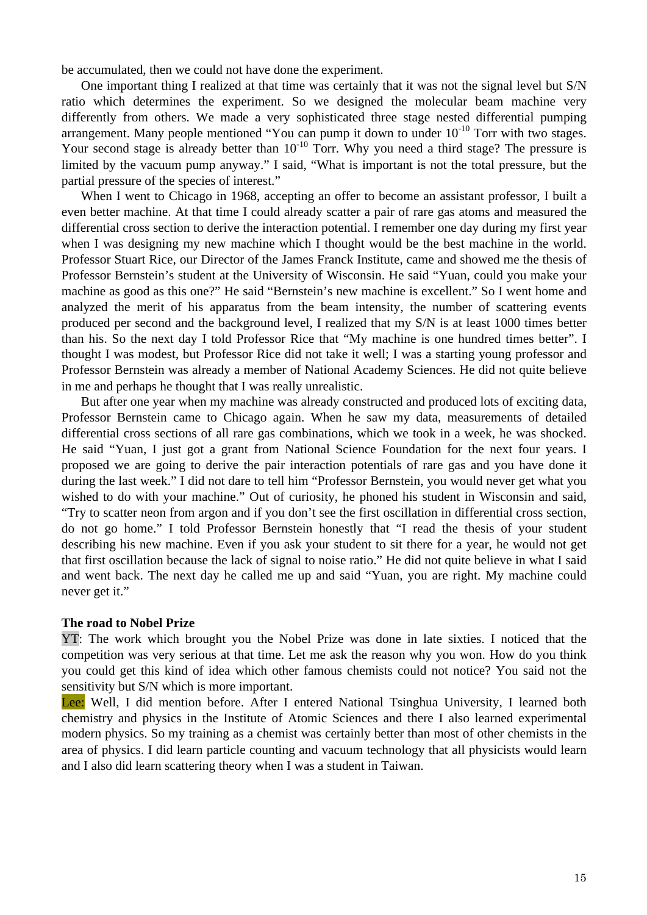be accumulated, then we could not have done the experiment.

 One important thing I realized at that time was certainly that it was not the signal level but S/N ratio which determines the experiment. So we designed the molecular beam machine very differently from others. We made a very sophisticated three stage nested differential pumping arrangement. Many people mentioned "You can pump it down to under  $10^{-10}$  Torr with two stages. Your second stage is already better than  $10^{-10}$  Torr. Why you need a third stage? The pressure is limited by the vacuum pump anyway." I said, "What is important is not the total pressure, but the partial pressure of the species of interest."

When I went to Chicago in 1968, accepting an offer to become an assistant professor, I built a even better machine. At that time I could already scatter a pair of rare gas atoms and measured the differential cross section to derive the interaction potential. I remember one day during my first year when I was designing my new machine which I thought would be the best machine in the world. Professor Stuart Rice, our Director of the James Franck Institute, came and showed me the thesis of Professor Bernstein's student at the University of Wisconsin. He said "Yuan, could you make your machine as good as this one?" He said "Bernstein's new machine is excellent." So I went home and analyzed the merit of his apparatus from the beam intensity, the number of scattering events produced per second and the background level, I realized that my S/N is at least 1000 times better than his. So the next day I told Professor Rice that "My machine is one hundred times better". I thought I was modest, but Professor Rice did not take it well; I was a starting young professor and Professor Bernstein was already a member of National Academy Sciences. He did not quite believe in me and perhaps he thought that I was really unrealistic.

 But after one year when my machine was already constructed and produced lots of exciting data, Professor Bernstein came to Chicago again. When he saw my data, measurements of detailed differential cross sections of all rare gas combinations, which we took in a week, he was shocked. He said "Yuan, I just got a grant from National Science Foundation for the next four years. I proposed we are going to derive the pair interaction potentials of rare gas and you have done it during the last week." I did not dare to tell him "Professor Bernstein, you would never get what you wished to do with your machine." Out of curiosity, he phoned his student in Wisconsin and said, "Try to scatter neon from argon and if you don't see the first oscillation in differential cross section, do not go home." I told Professor Bernstein honestly that "I read the thesis of your student describing his new machine. Even if you ask your student to sit there for a year, he would not get that first oscillation because the lack of signal to noise ratio." He did not quite believe in what I said and went back. The next day he called me up and said "Yuan, you are right. My machine could never get it."

#### **The road to Nobel Prize**

YT: The work which brought you the Nobel Prize was done in late sixties. I noticed that the competition was very serious at that time. Let me ask the reason why you won. How do you think you could get this kind of idea which other famous chemists could not notice? You said not the sensitivity but S/N which is more important.

Lee: Well, I did mention before. After I entered National Tsinghua University, I learned both chemistry and physics in the Institute of Atomic Sciences and there I also learned experimental modern physics. So my training as a chemist was certainly better than most of other chemists in the area of physics. I did learn particle counting and vacuum technology that all physicists would learn and I also did learn scattering theory when I was a student in Taiwan.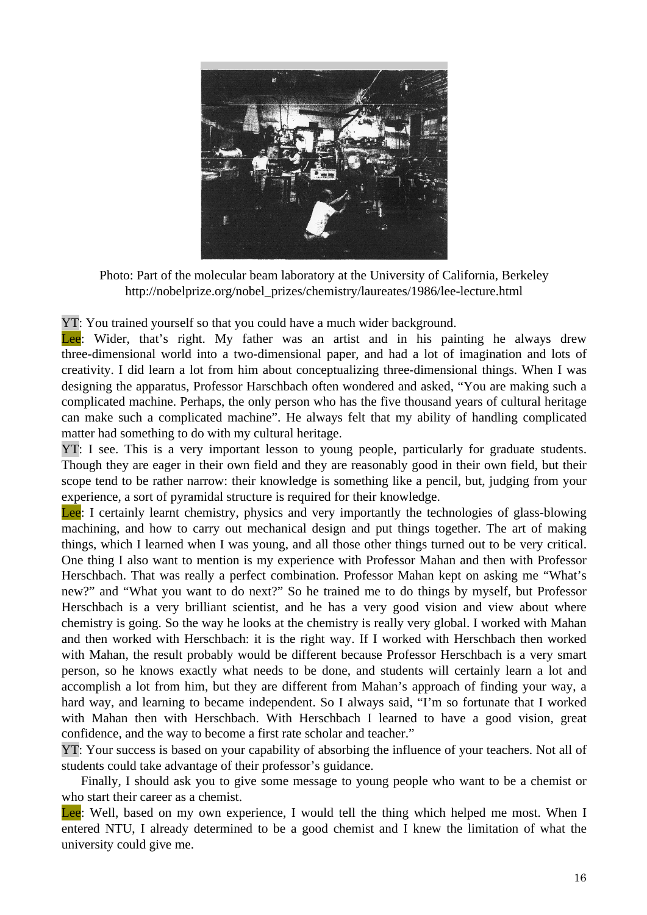

Photo: Part of the molecular beam laboratory at the University of California, Berkeley http://nobelprize.org/nobel\_prizes/chemistry/laureates/1986/lee-lecture.html

YT: You trained yourself so that you could have a much wider background.

Lee: Wider, that's right. My father was an artist and in his painting he always drew three-dimensional world into a two-dimensional paper, and had a lot of imagination and lots of creativity. I did learn a lot from him about conceptualizing three-dimensional things. When I was designing the apparatus, Professor Harschbach often wondered and asked, "You are making such a complicated machine. Perhaps, the only person who has the five thousand years of cultural heritage can make such a complicated machine". He always felt that my ability of handling complicated matter had something to do with my cultural heritage.

YT: I see. This is a very important lesson to young people, particularly for graduate students. Though they are eager in their own field and they are reasonably good in their own field, but their scope tend to be rather narrow: their knowledge is something like a pencil, but, judging from your experience, a sort of pyramidal structure is required for their knowledge.

Lee: I certainly learnt chemistry, physics and very importantly the technologies of glass-blowing machining, and how to carry out mechanical design and put things together. The art of making things, which I learned when I was young, and all those other things turned out to be very critical. One thing I also want to mention is my experience with Professor Mahan and then with Professor Herschbach. That was really a perfect combination. Professor Mahan kept on asking me "What's new?" and "What you want to do next?" So he trained me to do things by myself, but Professor Herschbach is a very brilliant scientist, and he has a very good vision and view about where chemistry is going. So the way he looks at the chemistry is really very global. I worked with Mahan and then worked with Herschbach: it is the right way. If I worked with Herschbach then worked with Mahan, the result probably would be different because Professor Herschbach is a very smart person, so he knows exactly what needs to be done, and students will certainly learn a lot and accomplish a lot from him, but they are different from Mahan's approach of finding your way, a hard way, and learning to became independent. So I always said, "I'm so fortunate that I worked with Mahan then with Herschbach. With Herschbach I learned to have a good vision, great confidence, and the way to become a first rate scholar and teacher."

YT: Your success is based on your capability of absorbing the influence of your teachers. Not all of students could take advantage of their professor's guidance.

 Finally, I should ask you to give some message to young people who want to be a chemist or who start their career as a chemist.

Lee: Well, based on my own experience, I would tell the thing which helped me most. When I entered NTU, I already determined to be a good chemist and I knew the limitation of what the university could give me.